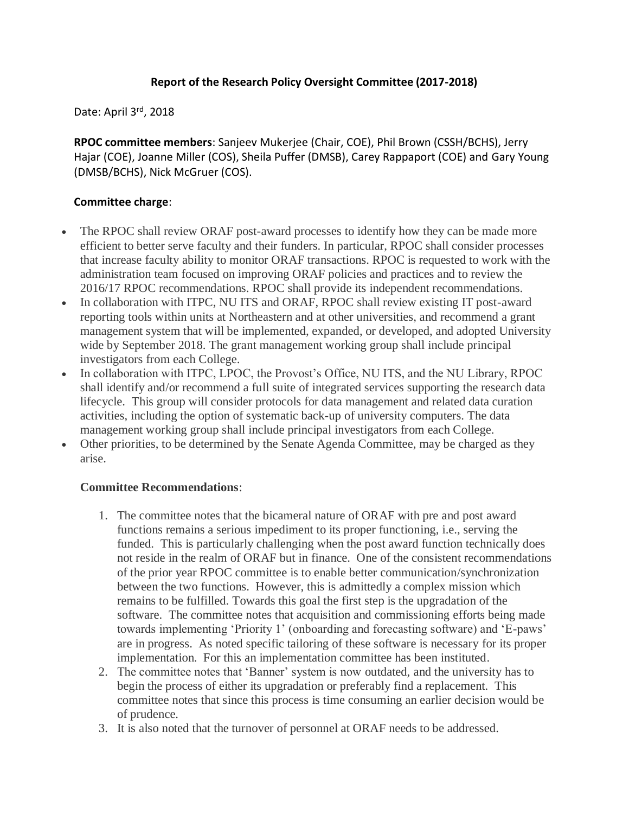## **Report of the Research Policy Oversight Committee (2017-2018)**

Date: April 3rd, 2018

**RPOC committee members**: Sanjeev Mukerjee (Chair, COE), Phil Brown (CSSH/BCHS), Jerry Hajar (COE), Joanne Miller (COS), Sheila Puffer (DMSB), Carey Rappaport (COE) and Gary Young (DMSB/BCHS), Nick McGruer (COS).

## **Committee charge**:

- The RPOC shall review ORAF post-award processes to identify how they can be made more efficient to better serve faculty and their funders. In particular, RPOC shall consider processes that increase faculty ability to monitor ORAF transactions. RPOC is requested to work with the administration team focused on improving ORAF policies and practices and to review the 2016/17 RPOC recommendations. RPOC shall provide its independent recommendations.
- In collaboration with ITPC, NU ITS and ORAF, RPOC shall review existing IT post-award reporting tools within units at Northeastern and at other universities, and recommend a grant management system that will be implemented, expanded, or developed, and adopted University wide by September 2018. The grant management working group shall include principal investigators from each College.
- In collaboration with ITPC, LPOC, the Provost's Office, NU ITS, and the NU Library, RPOC shall identify and/or recommend a full suite of integrated services supporting the research data lifecycle. This group will consider protocols for data management and related data curation activities, including the option of systematic back-up of university computers. The data management working group shall include principal investigators from each College.
- Other priorities, to be determined by the Senate Agenda Committee, may be charged as they arise.

## **Committee Recommendations**:

- 1. The committee notes that the bicameral nature of ORAF with pre and post award functions remains a serious impediment to its proper functioning, i.e., serving the funded. This is particularly challenging when the post award function technically does not reside in the realm of ORAF but in finance. One of the consistent recommendations of the prior year RPOC committee is to enable better communication/synchronization between the two functions. However, this is admittedly a complex mission which remains to be fulfilled. Towards this goal the first step is the upgradation of the software. The committee notes that acquisition and commissioning efforts being made towards implementing 'Priority 1' (onboarding and forecasting software) and 'E-paws' are in progress. As noted specific tailoring of these software is necessary for its proper implementation. For this an implementation committee has been instituted.
- 2. The committee notes that 'Banner' system is now outdated, and the university has to begin the process of either its upgradation or preferably find a replacement. This committee notes that since this process is time consuming an earlier decision would be of prudence.
- 3. It is also noted that the turnover of personnel at ORAF needs to be addressed.